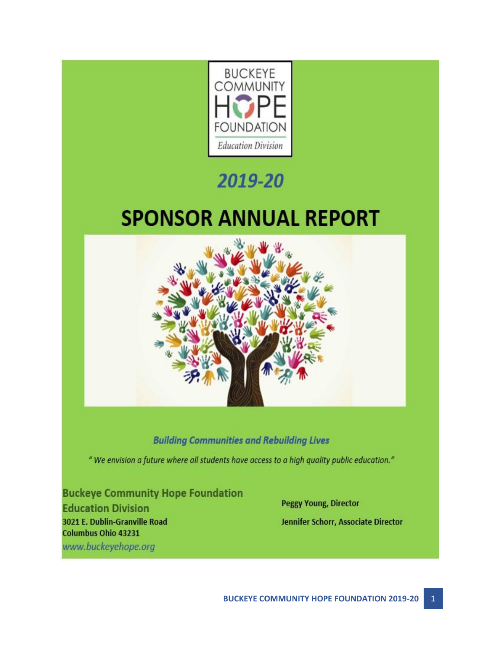

# 2019-20

# **SPONSOR ANNUAL REPORT**



### **Building Communities and Rebuilding Lives**

" We envision a future where all students have access to a high quality public education."

### **Buckeye Community Hope Foundation**

**Education Division** 3021 E. Dublin-Granville Road **Columbus Ohio 43231** www.buckeyehope.org

**Peggy Young, Director** Jennifer Schorr, Associate Director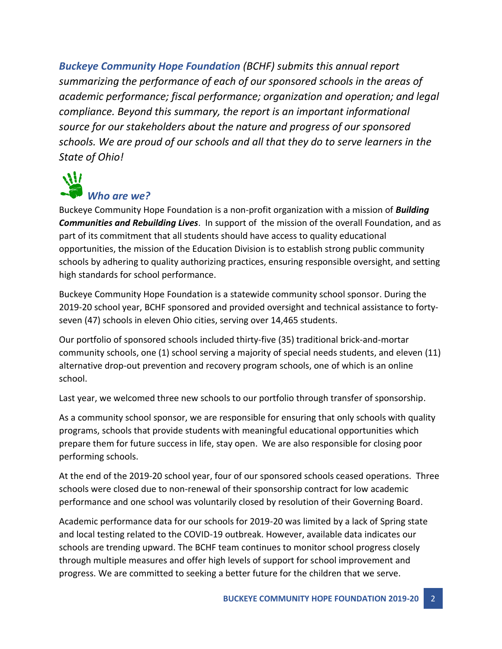*Buckeye Community Hope Foundation (BCHF) submits this annual report summarizing the performance of each of our sponsored schools in the areas of academic performance; fiscal performance; organization and operation; and legal compliance. Beyond this summary, the report is an important informational source for our stakeholders about the nature and progress of our sponsored schools. We are proud of our schools and all that they do to serve learners in the State of Ohio!*

## $\mathcal{W}'$ *Who are we?*

Buckeye Community Hope Foundation is a non-profit organization with a mission of *Building Communities and Rebuilding Lives*. In support of the mission of the overall Foundation, and as part of its commitment that all students should have access to quality educational opportunities, the mission of the Education Division is to establish strong public community schools by adhering to quality authorizing practices, ensuring responsible oversight, and setting high standards for school performance.

Buckeye Community Hope Foundation is a statewide community school sponsor. During the 2019-20 school year, BCHF sponsored and provided oversight and technical assistance to fortyseven (47) schools in eleven Ohio cities, serving over 14,465 students.

Our portfolio of sponsored schools included thirty-five (35) traditional brick-and-mortar community schools, one (1) school serving a majority of special needs students, and eleven (11) alternative drop-out prevention and recovery program schools, one of which is an online school.

Last year, we welcomed three new schools to our portfolio through transfer of sponsorship.

As a community school sponsor, we are responsible for ensuring that only schools with quality programs, schools that provide students with meaningful educational opportunities which prepare them for future success in life, stay open. We are also responsible for closing poor performing schools.

At the end of the 2019-20 school year, four of our sponsored schools ceased operations. Three schools were closed due to non-renewal of their sponsorship contract for low academic performance and one school was voluntarily closed by resolution of their Governing Board.

Academic performance data for our schools for 2019-20 was limited by a lack of Spring state and local testing related to the COVID-19 outbreak. However, available data indicates our schools are trending upward. The BCHF team continues to monitor school progress closely through multiple measures and offer high levels of support for school improvement and progress. We are committed to seeking a better future for the children that we serve.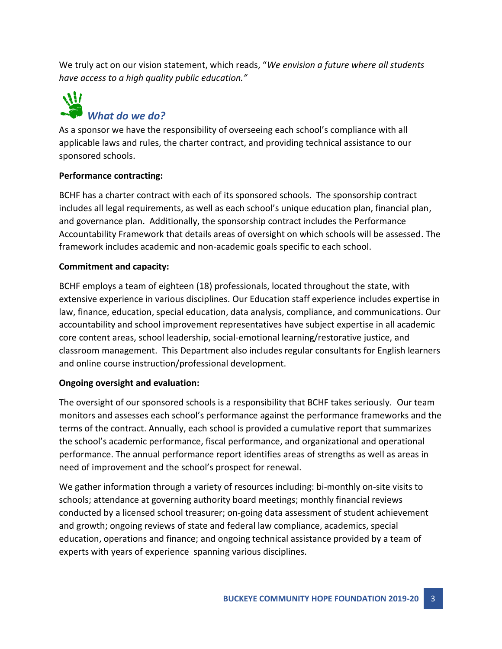We truly act on our vision statement, which reads, "*We envision a future where all students have access to a high quality public education."*

## $\mathcal{W}'$ *What do we do?*

As a sponsor we have the responsibility of overseeing each school's compliance with all applicable laws and rules, the charter contract, and providing technical assistance to our sponsored schools.

#### **Performance contracting:**

BCHF has a charter contract with each of its sponsored schools. The sponsorship contract includes all legal requirements, as well as each school's unique education plan, financial plan, and governance plan. Additionally, the sponsorship contract includes the Performance Accountability Framework that details areas of oversight on which schools will be assessed. The framework includes academic and non-academic goals specific to each school.

#### **Commitment and capacity:**

BCHF employs a team of eighteen (18) professionals, located throughout the state, with extensive experience in various disciplines. Our Education staff experience includes expertise in law, finance, education, special education, data analysis, compliance, and communications. Our accountability and school improvement representatives have subject expertise in all academic core content areas, school leadership, social-emotional learning/restorative justice, and classroom management. This Department also includes regular consultants for English learners and online course instruction/professional development.

#### **Ongoing oversight and evaluation:**

The oversight of our sponsored schools is a responsibility that BCHF takes seriously. Our team monitors and assesses each school's performance against the performance frameworks and the terms of the contract. Annually, each school is provided a cumulative report that summarizes the school's academic performance, fiscal performance, and organizational and operational performance. The annual performance report identifies areas of strengths as well as areas in need of improvement and the school's prospect for renewal.

We gather information through a variety of resources including: bi-monthly on-site visits to schools; attendance at governing authority board meetings; monthly financial reviews conducted by a licensed school treasurer; on-going data assessment of student achievement and growth; ongoing reviews of state and federal law compliance, academics, special education, operations and finance; and ongoing technical assistance provided by a team of experts with years of experience spanning various disciplines.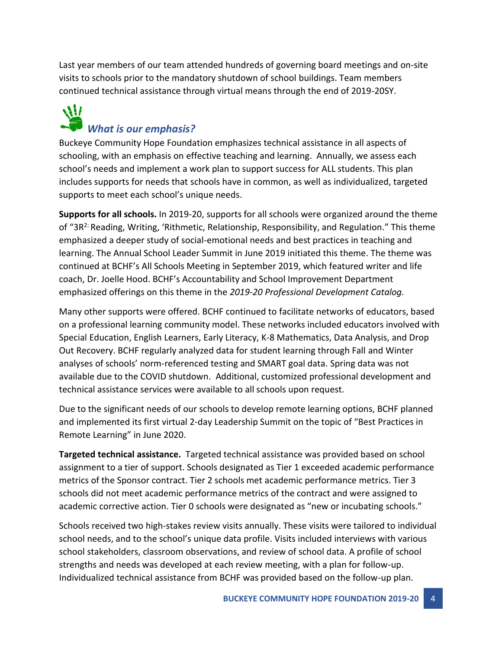Last year members of our team attended hundreds of governing board meetings and on-site visits to schools prior to the mandatory shutdown of school buildings. Team members continued technical assistance through virtual means through the end of 2019-20SY.

### W *What is our emphasis?*

Buckeye Community Hope Foundation emphasizes technical assistance in all aspects of schooling, with an emphasis on effective teaching and learning. Annually, we assess each school's needs and implement a work plan to support success for ALL students. This plan includes supports for needs that schools have in common, as well as individualized, targeted supports to meet each school's unique needs.

**Supports for all schools.** In 2019-20, supports for all schools were organized around the theme of "3R2: Reading, Writing, 'Rithmetic, Relationship, Responsibility, and Regulation." This theme emphasized a deeper study of social-emotional needs and best practices in teaching and learning. The Annual School Leader Summit in June 2019 initiated this theme. The theme was continued at BCHF's All Schools Meeting in September 2019, which featured writer and life coach, Dr. Joelle Hood. BCHF's Accountability and School Improvement Department emphasized offerings on this theme in the *2019-20 Professional Development Catalog.*

Many other supports were offered. BCHF continued to facilitate networks of educators, based on a professional learning community model. These networks included educators involved with Special Education, English Learners, Early Literacy, K-8 Mathematics, Data Analysis, and Drop Out Recovery. BCHF regularly analyzed data for student learning through Fall and Winter analyses of schools' norm-referenced testing and SMART goal data. Spring data was not available due to the COVID shutdown. Additional, customized professional development and technical assistance services were available to all schools upon request.

Due to the significant needs of our schools to develop remote learning options, BCHF planned and implemented its first virtual 2-day Leadership Summit on the topic of "Best Practices in Remote Learning" in June 2020.

**Targeted technical assistance.** Targeted technical assistance was provided based on school assignment to a tier of support. Schools designated as Tier 1 exceeded academic performance metrics of the Sponsor contract. Tier 2 schools met academic performance metrics. Tier 3 schools did not meet academic performance metrics of the contract and were assigned to academic corrective action. Tier 0 schools were designated as "new or incubating schools."

Schools received two high-stakes review visits annually. These visits were tailored to individual school needs, and to the school's unique data profile. Visits included interviews with various school stakeholders, classroom observations, and review of school data. A profile of school strengths and needs was developed at each review meeting, with a plan for follow-up. Individualized technical assistance from BCHF was provided based on the follow-up plan.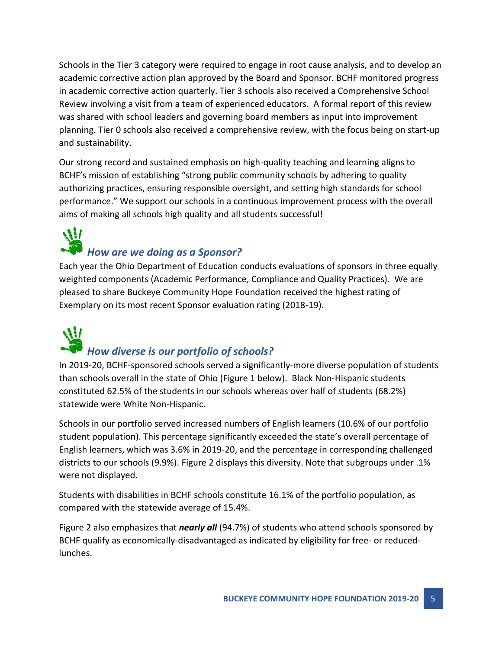Schools in the Tier 3 category were required to engage in root cause analysis, and to develop an academic corrective action plan approved by the Board and Sponsor. BCHF monitored progress in academic corrective action quarterly. Tier 3 schools also received a Comprehensive School Review involving a visit from a team of experienced educators. A formal report of this review was shared with school leaders and governing board members as input into improvement planning. Tier 0 schools also received a comprehensive review, with the focus being on start-up and sustainability.

Our strong record and sustained emphasis on high-quality teaching and learning aligns to BCHF's mission of establishing "strong public community schools by adhering to quality authorizing practices, ensuring responsible oversight, and setting high standards for school performance." We support our schools in a continuous improvement process with the overall aims of making all schools high quality and all students successful!

### $\mathcal{W}$ *How are we doing as a Sponsor?*

Each year the Ohio Department of Education conducts evaluations of sponsors in three equally weighted components (Academic Performance, Compliance and Quality Practices). We are pleased to share Buckeye Community Hope Foundation received the highest rating of Exemplary on its most recent Sponsor evaluation rating (2018-19).

## AW *How diverse is our portfolio of schools?*

In 2019-20, BCHF-sponsored schools served a significantly-more diverse population of students than schools overall in the state of Ohio (Figure 1 below). Black Non-Hispanic students constituted 62.5% of the students in our schools whereas over half of students (68.2%) statewide were White Non-Hispanic.

Schools in our portfolio served increased numbers of English learners (10.6% of our portfolio student population). This percentage significantly exceeded the state's overall percentage of English learners, which was 3.6% in 2019-20, and the percentage in corresponding challenged districts to our schools (9.9%). Figure 2 displays this diversity. Note that subgroups under .1% were not displayed.

Students with disabilities in BCHF schools constitute 16.1% of the portfolio population, as compared with the statewide average of 15.4%.

Figure 2 also emphasizes that *nearly all* (94.7%) of students who attend schools sponsored by BCHF qualify as economically-disadvantaged as indicated by eligibility for free- or reducedlunches.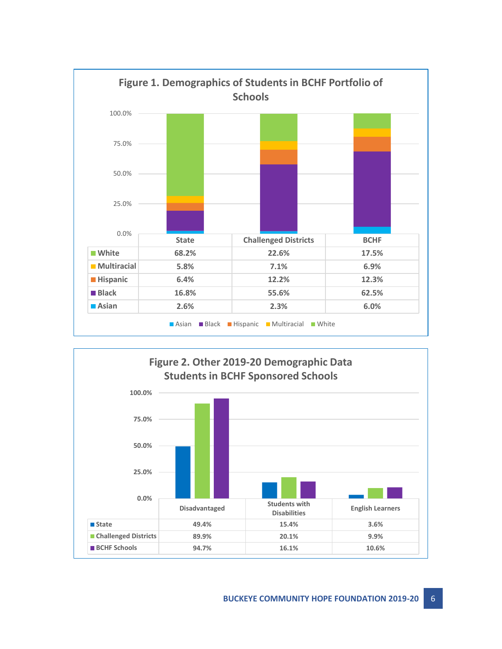

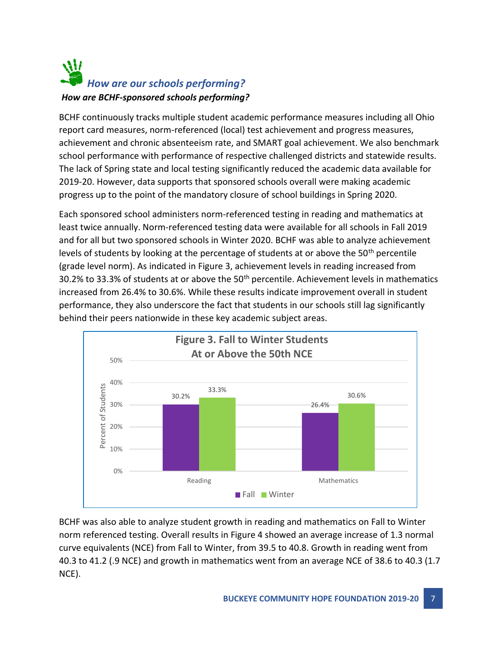### W *How are our schools performing? How are BCHF-sponsored schools performing?*

BCHF continuously tracks multiple student academic performance measures including all Ohio report card measures, norm-referenced (local) test achievement and progress measures, achievement and chronic absenteeism rate, and SMART goal achievement. We also benchmark school performance with performance of respective challenged districts and statewide results. The lack of Spring state and local testing significantly reduced the academic data available for 2019-20. However, data supports that sponsored schools overall were making academic progress up to the point of the mandatory closure of school buildings in Spring 2020.

Each sponsored school administers norm-referenced testing in reading and mathematics at least twice annually. Norm-referenced testing data were available for all schools in Fall 2019 and for all but two sponsored schools in Winter 2020. BCHF was able to analyze achievement levels of students by looking at the percentage of students at or above the 50th percentile (grade level norm). As indicated in Figure 3, achievement levels in reading increased from 30.2% to 33.3% of students at or above the 50<sup>th</sup> percentile. Achievement levels in mathematics increased from 26.4% to 30.6%. While these results indicate improvement overall in student performance, they also underscore the fact that students in our schools still lag significantly behind their peers nationwide in these key academic subject areas.



BCHF was also able to analyze student growth in reading and mathematics on Fall to Winter norm referenced testing. Overall results in Figure 4 showed an average increase of 1.3 normal curve equivalents (NCE) from Fall to Winter, from 39.5 to 40.8. Growth in reading went from 40.3 to 41.2 (.9 NCE) and growth in mathematics went from an average NCE of 38.6 to 40.3 (1.7 NCE).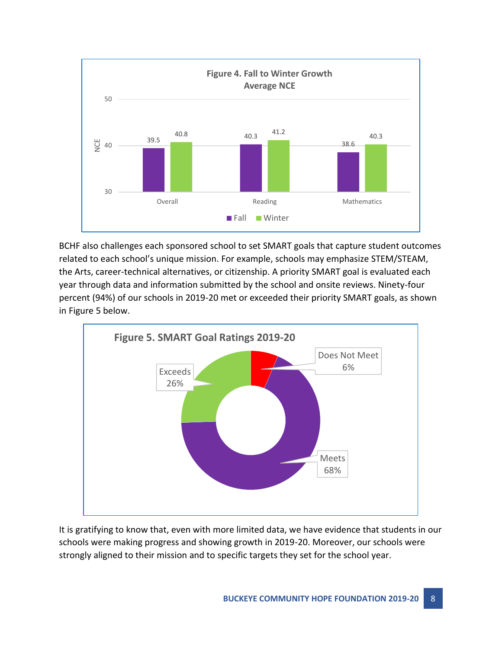

BCHF also challenges each sponsored school to set SMART goals that capture student outcomes related to each school's unique mission. For example, schools may emphasize STEM/STEAM, the Arts, career-technical alternatives, or citizenship. A priority SMART goal is evaluated each year through data and information submitted by the school and onsite reviews. Ninety-four percent (94%) of our schools in 2019-20 met or exceeded their priority SMART goals, as shown in Figure 5 below.



It is gratifying to know that, even with more limited data, we have evidence that students in our schools were making progress and showing growth in 2019-20. Moreover, our schools were strongly aligned to their mission and to specific targets they set for the school year.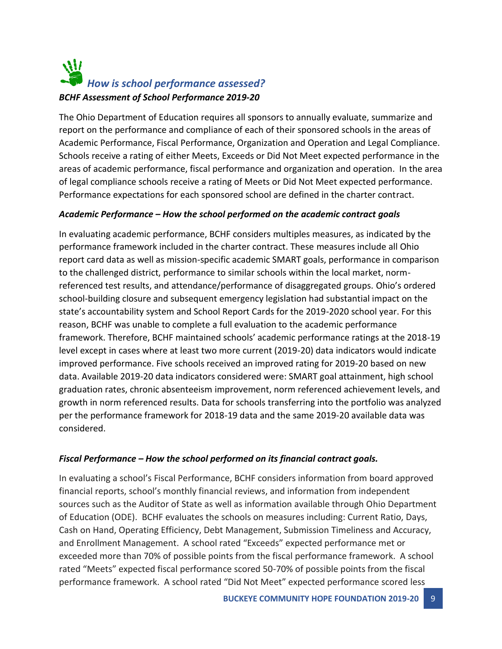### W *How is school performance assessed? BCHF Assessment of School Performance 2019-20*

The Ohio Department of Education requires all sponsors to annually evaluate, summarize and report on the performance and compliance of each of their sponsored schools in the areas of Academic Performance, Fiscal Performance, Organization and Operation and Legal Compliance. Schools receive a rating of either Meets, Exceeds or Did Not Meet expected performance in the areas of academic performance, fiscal performance and organization and operation. In the area of legal compliance schools receive a rating of Meets or Did Not Meet expected performance. Performance expectations for each sponsored school are defined in the charter contract.

#### *Academic Performance – How the school performed on the academic contract goals*

In evaluating academic performance, BCHF considers multiples measures, as indicated by the performance framework included in the charter contract. These measures include all Ohio report card data as well as mission-specific academic SMART goals, performance in comparison to the challenged district, performance to similar schools within the local market, normreferenced test results, and attendance/performance of disaggregated groups. Ohio's ordered school-building closure and subsequent emergency legislation had substantial impact on the state's accountability system and School Report Cards for the 2019-2020 school year. For this reason, BCHF was unable to complete a full evaluation to the academic performance framework. Therefore, BCHF maintained schools' academic performance ratings at the 2018-19 level except in cases where at least two more current (2019-20) data indicators would indicate improved performance. Five schools received an improved rating for 2019-20 based on new data. Available 2019-20 data indicators considered were: SMART goal attainment, high school graduation rates, chronic absenteeism improvement, norm referenced achievement levels, and growth in norm referenced results. Data for schools transferring into the portfolio was analyzed per the performance framework for 2018-19 data and the same 2019-20 available data was considered.

#### *Fiscal Performance – How the school performed on its financial contract goals.*

In evaluating a school's Fiscal Performance, BCHF considers information from board approved financial reports, school's monthly financial reviews, and information from independent sources such as the Auditor of State as well as information available through Ohio Department of Education (ODE). BCHF evaluates the schools on measures including: Current Ratio, Days, Cash on Hand, Operating Efficiency, Debt Management, Submission Timeliness and Accuracy, and Enrollment Management. A school rated "Exceeds" expected performance met or exceeded more than 70% of possible points from the fiscal performance framework. A school rated "Meets" expected fiscal performance scored 50-70% of possible points from the fiscal performance framework. A school rated "Did Not Meet" expected performance scored less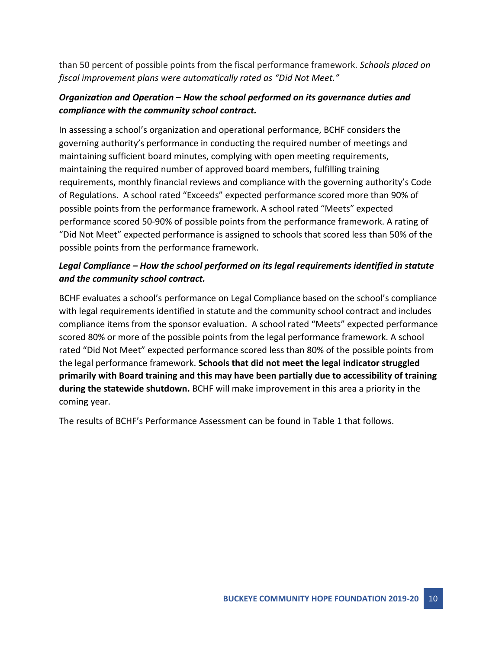than 50 percent of possible points from the fiscal performance framework. *Schools placed on fiscal improvement plans were automatically rated as "Did Not Meet."*

#### *Organization and Operation – How the school performed on its governance duties and compliance with the community school contract.*

In assessing a school's organization and operational performance, BCHF considers the governing authority's performance in conducting the required number of meetings and maintaining sufficient board minutes, complying with open meeting requirements, maintaining the required number of approved board members, fulfilling training requirements, monthly financial reviews and compliance with the governing authority's Code of Regulations. A school rated "Exceeds" expected performance scored more than 90% of possible points from the performance framework. A school rated "Meets" expected performance scored 50-90% of possible points from the performance framework. A rating of "Did Not Meet" expected performance is assigned to schools that scored less than 50% of the possible points from the performance framework.

#### *Legal Compliance – How the school performed on its legal requirements identified in statute and the community school contract.*

BCHF evaluates a school's performance on Legal Compliance based on the school's compliance with legal requirements identified in statute and the community school contract and includes compliance items from the sponsor evaluation. A school rated "Meets" expected performance scored 80% or more of the possible points from the legal performance framework. A school rated "Did Not Meet" expected performance scored less than 80% of the possible points from the legal performance framework. **Schools that did not meet the legal indicator struggled primarily with Board training and this may have been partially due to accessibility of training during the statewide shutdown.** BCHF will make improvement in this area a priority in the coming year.

The results of BCHF's Performance Assessment can be found in Table 1 that follows.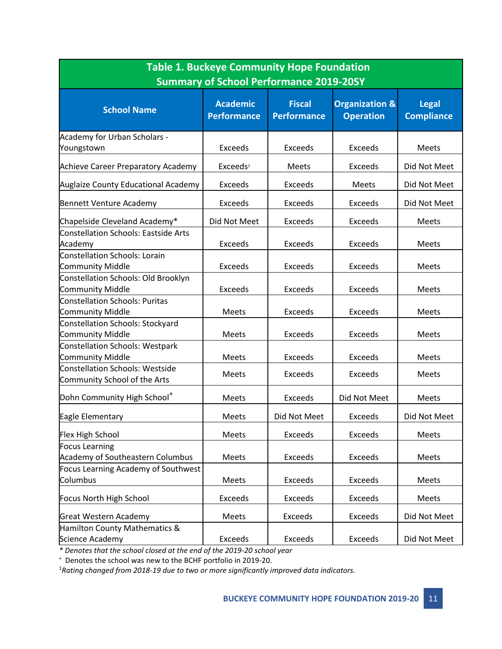| <b>Table 1. Buckeye Community Hope Foundation</b><br><b>Summary of School Performance 2019-20SY</b> |                                       |                                     |                                               |                                   |  |  |  |
|-----------------------------------------------------------------------------------------------------|---------------------------------------|-------------------------------------|-----------------------------------------------|-----------------------------------|--|--|--|
| <b>School Name</b>                                                                                  | <b>Academic</b><br><b>Performance</b> | <b>Fiscal</b><br><b>Performance</b> | <b>Organization &amp;</b><br><b>Operation</b> | <b>Legal</b><br><b>Compliance</b> |  |  |  |
| Academy for Urban Scholars -                                                                        |                                       |                                     |                                               |                                   |  |  |  |
| Youngstown                                                                                          | <b>Exceeds</b>                        | <b>Exceeds</b>                      | <b>Exceeds</b>                                | <b>Meets</b>                      |  |  |  |
| Achieve Career Preparatory Academy                                                                  | Exceeds <sup>1</sup>                  | Meets                               | <b>Exceeds</b>                                | Did Not Meet                      |  |  |  |
| <b>Auglaize County Educational Academy</b>                                                          | Exceeds                               | <b>Exceeds</b>                      | <b>Meets</b>                                  | Did Not Meet                      |  |  |  |
| Bennett Venture Academy                                                                             | <b>Exceeds</b>                        | <b>Exceeds</b>                      | <b>Exceeds</b>                                | Did Not Meet                      |  |  |  |
| Chapelside Cleveland Academy*                                                                       | Did Not Meet                          | Exceeds                             | Exceeds                                       | <b>Meets</b>                      |  |  |  |
| Constellation Schools: Eastside Arts<br>Academy                                                     | <b>Exceeds</b>                        | <b>Exceeds</b>                      | <b>Exceeds</b>                                | <b>Meets</b>                      |  |  |  |
| Constellation Schools: Lorain                                                                       |                                       |                                     |                                               |                                   |  |  |  |
| Community Middle                                                                                    | <b>Exceeds</b>                        | <b>Exceeds</b>                      | <b>Exceeds</b>                                | <b>Meets</b>                      |  |  |  |
| Constellation Schools: Old Brooklyn                                                                 |                                       |                                     |                                               |                                   |  |  |  |
| Community Middle                                                                                    | <b>Exceeds</b>                        | Exceeds                             | Exceeds                                       | <b>Meets</b>                      |  |  |  |
| <b>Constellation Schools: Puritas</b>                                                               |                                       |                                     |                                               |                                   |  |  |  |
| Community Middle                                                                                    | Meets                                 | <b>Exceeds</b>                      | <b>Exceeds</b>                                | Meets                             |  |  |  |
| Constellation Schools: Stockyard                                                                    |                                       | <b>Exceeds</b>                      | <b>Exceeds</b>                                |                                   |  |  |  |
| Community Middle                                                                                    | Meets                                 |                                     |                                               | <b>Meets</b>                      |  |  |  |
| Constellation Schools: Westpark<br>Community Middle                                                 | Meets                                 | <b>Exceeds</b>                      | <b>Exceeds</b>                                | <b>Meets</b>                      |  |  |  |
| <b>Constellation Schools: Westside</b>                                                              |                                       |                                     |                                               |                                   |  |  |  |
| Community School of the Arts                                                                        | <b>Meets</b>                          | <b>Exceeds</b>                      | <b>Exceeds</b>                                | <b>Meets</b>                      |  |  |  |
| Dohn Community High School <sup>+</sup>                                                             | <b>Meets</b>                          | <b>Exceeds</b>                      | Did Not Meet                                  | Meets                             |  |  |  |
| Eagle Elementary                                                                                    | Meets                                 | Did Not Meet                        | Exceeds                                       | Did Not Meet                      |  |  |  |
| Flex High School                                                                                    | Meets                                 | <b>Exceeds</b>                      | <b>Exceeds</b>                                | Meets                             |  |  |  |
| <b>Focus Learning</b>                                                                               |                                       |                                     |                                               |                                   |  |  |  |
| <b>Academy of Southeastern Columbus</b>                                                             | <b>Meets</b>                          | Exceeds                             | <b>Exceeds</b>                                | Meets                             |  |  |  |
| Focus Learning Academy of Southwest                                                                 |                                       |                                     |                                               |                                   |  |  |  |
| Columbus                                                                                            | Meets                                 | Exceeds                             | Exceeds                                       | Meets                             |  |  |  |
| Focus North High School                                                                             | Exceeds                               | Exceeds                             | Exceeds                                       | Meets                             |  |  |  |
| Great Western Academy                                                                               | Meets                                 | <b>Exceeds</b>                      | <b>Exceeds</b>                                | Did Not Meet                      |  |  |  |
| Hamilton County Mathematics &                                                                       |                                       |                                     |                                               |                                   |  |  |  |
| Science Academy                                                                                     | Exceeds                               | Exceeds                             | <b>Exceeds</b>                                | Did Not Meet                      |  |  |  |

*\* Denotes that the school closed at the end of the 2019-20 school year*

<sup>+</sup>Denotes the school was new to the BCHF portfolio in 2019-20.

1*Rating changed from 2018-19 due to two or more significantly improved data indicators.*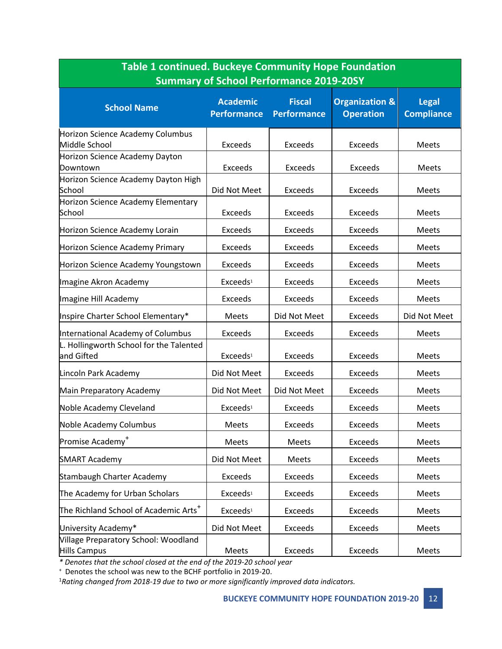| <b>Table 1 continued. Buckeye Community Hope Foundation</b><br><b>Summary of School Performance 2019-20SY</b> |                                       |                                     |                                               |                                   |  |  |
|---------------------------------------------------------------------------------------------------------------|---------------------------------------|-------------------------------------|-----------------------------------------------|-----------------------------------|--|--|
| <b>School Name</b>                                                                                            | <b>Academic</b><br><b>Performance</b> | <b>Fiscal</b><br><b>Performance</b> | <b>Organization &amp;</b><br><b>Operation</b> | <b>Legal</b><br><b>Compliance</b> |  |  |
| Horizon Science Academy Columbus<br>Middle School                                                             | <b>Exceeds</b>                        | <b>Exceeds</b>                      | <b>Exceeds</b>                                | Meets                             |  |  |
| Horizon Science Academy Dayton<br>Downtown                                                                    | Exceeds                               | <b>Exceeds</b>                      | <b>Exceeds</b>                                | Meets                             |  |  |
| Horizon Science Academy Dayton High<br>School                                                                 | Did Not Meet                          | Exceeds                             | <b>Exceeds</b>                                | Meets                             |  |  |
| Horizon Science Academy Elementary<br>School                                                                  | <b>Exceeds</b>                        | <b>Exceeds</b>                      | <b>Exceeds</b>                                | Meets                             |  |  |
| Horizon Science Academy Lorain                                                                                | <b>Exceeds</b>                        | <b>Exceeds</b>                      | <b>Exceeds</b>                                | Meets                             |  |  |
| Horizon Science Academy Primary                                                                               | <b>Exceeds</b>                        | Exceeds                             | <b>Exceeds</b>                                | Meets                             |  |  |
| Horizon Science Academy Youngstown                                                                            | Exceeds                               | <b>Exceeds</b>                      | <b>Exceeds</b>                                | Meets                             |  |  |
| Imagine Akron Academy                                                                                         | Exceeds <sup>1</sup>                  | <b>Exceeds</b>                      | <b>Exceeds</b>                                | Meets                             |  |  |
| Imagine Hill Academy                                                                                          | <b>Exceeds</b>                        | Exceeds                             | <b>Exceeds</b>                                | <b>Meets</b>                      |  |  |
| Inspire Charter School Elementary*                                                                            | <b>Meets</b>                          | Did Not Meet                        | Exceeds                                       | Did Not Meet                      |  |  |
| International Academy of Columbus                                                                             | Exceeds                               | <b>Exceeds</b>                      | <b>Exceeds</b>                                | Meets                             |  |  |
| L. Hollingworth School for the Talented<br>and Gifted                                                         | Exceeds <sup>1</sup>                  | Exceeds                             | <b>Exceeds</b>                                | Meets                             |  |  |
| Lincoln Park Academy                                                                                          | Did Not Meet                          | <b>Exceeds</b>                      | <b>Exceeds</b>                                | Meets                             |  |  |
| Main Preparatory Academy                                                                                      | Did Not Meet                          | Did Not Meet                        | <b>Exceeds</b>                                | Meets                             |  |  |
| Noble Academy Cleveland                                                                                       | Exceeds <sup>1</sup>                  | <b>Exceeds</b>                      | <b>Exceeds</b>                                | Meets                             |  |  |
| Noble Academy Columbus                                                                                        | Meets                                 | <b>Exceeds</b>                      | <b>Exceeds</b>                                | Meets                             |  |  |
| Promise Academy <sup>+</sup>                                                                                  | <b>Meets</b>                          | <b>Meets</b>                        | Exceeds                                       | Meets                             |  |  |
| <b>SMART Academy</b>                                                                                          | Did Not Meet                          | Meets                               | Exceeds                                       | Meets                             |  |  |
| Stambaugh Charter Academy                                                                                     | <b>Exceeds</b>                        | <b>Exceeds</b>                      | Exceeds                                       | Meets                             |  |  |
| The Academy for Urban Scholars                                                                                | Exceeds <sup>1</sup>                  | <b>Exceeds</b>                      | Exceeds                                       | Meets                             |  |  |
| The Richland School of Academic Arts <sup>+</sup>                                                             | Exceeds <sup>1</sup>                  | Exceeds                             | <b>Exceeds</b>                                | Meets                             |  |  |
| University Academy*                                                                                           | Did Not Meet                          | <b>Exceeds</b>                      | <b>Exceeds</b>                                | Meets                             |  |  |
| Village Preparatory School: Woodland<br>Hills Campus                                                          | Meets                                 | Exceeds                             | Exceeds                                       | Meets                             |  |  |

*\* Denotes that the school closed at the end of the 2019-20 school year*

<sup>+</sup>Denotes the school was new to the BCHF portfolio in 2019-20.

1*Rating changed from 2018-19 due to two or more significantly improved data indicators.*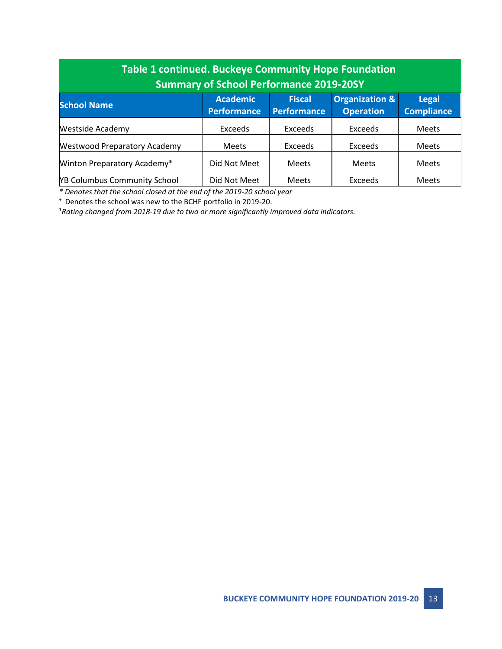| <b>Table 1 continued. Buckeye Community Hope Foundation</b><br><b>Summary of School Performance 2019-20SY</b> |                                       |                                     |                                    |                                   |  |  |
|---------------------------------------------------------------------------------------------------------------|---------------------------------------|-------------------------------------|------------------------------------|-----------------------------------|--|--|
| <b>School Name</b>                                                                                            | <b>Academic</b><br><b>Performance</b> | <b>Fiscal</b><br><b>Performance</b> | Organization &<br><b>Operation</b> | <b>Legal</b><br><b>Compliance</b> |  |  |
| <b>Westside Academy</b>                                                                                       | Exceeds                               | Exceeds                             | Exceeds                            | <b>Meets</b>                      |  |  |
| <b>Westwood Preparatory Academy</b>                                                                           | <b>Meets</b>                          | <b>Exceeds</b>                      | Exceeds                            | <b>Meets</b>                      |  |  |
| Winton Preparatory Academy*                                                                                   | Did Not Meet                          | <b>Meets</b>                        | <b>Meets</b>                       | <b>Meets</b>                      |  |  |
| <b>YB Columbus Community School</b>                                                                           | Did Not Meet                          | <b>Meets</b>                        | Exceeds                            | <b>Meets</b>                      |  |  |

*\* Denotes that the school closed at the end of the 2019-20 school year*

<sup>+</sup>Denotes the school was new to the BCHF portfolio in 2019-20.

1*Rating changed from 2018-19 due to two or more significantly improved data indicators.*